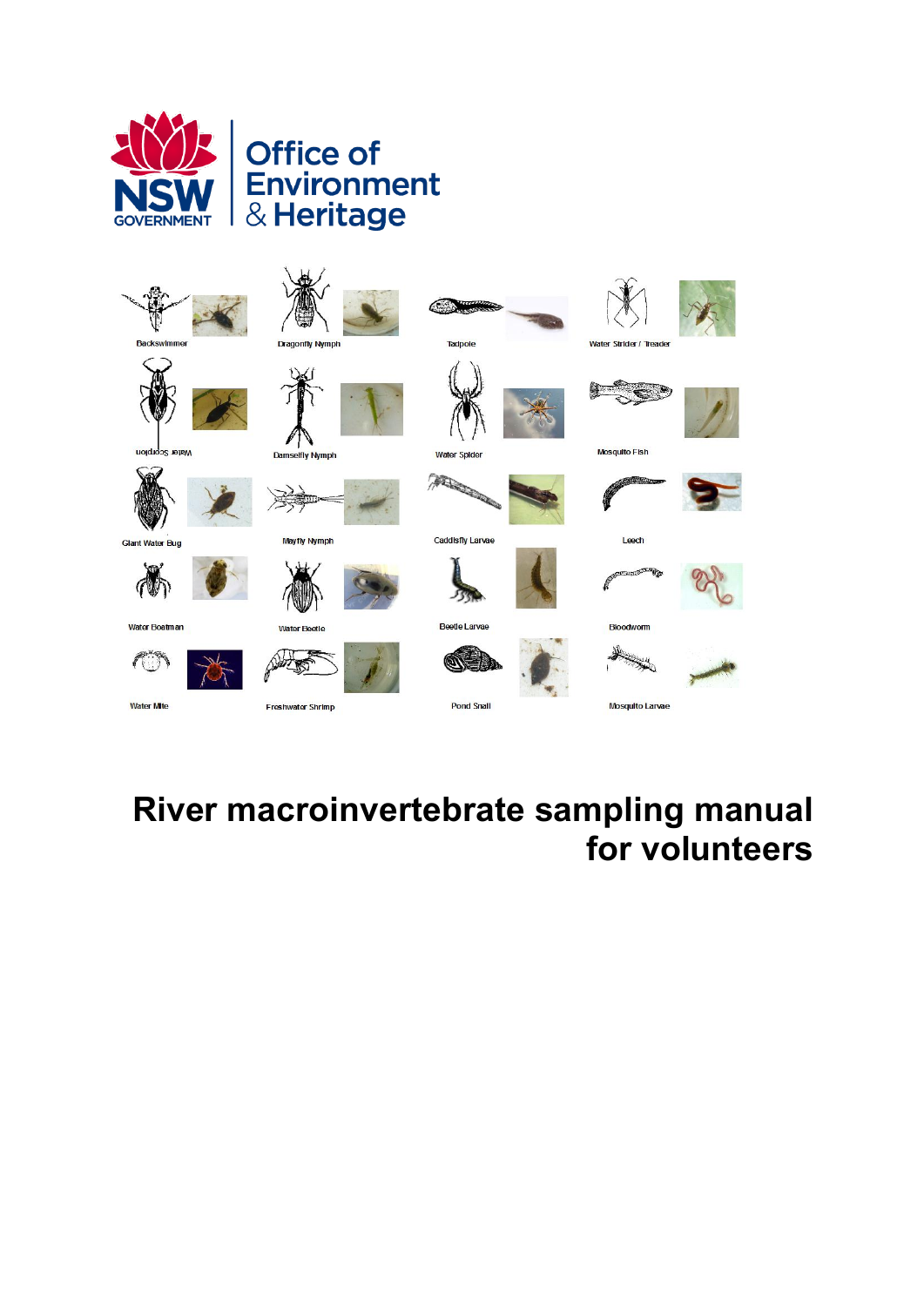



# **River macroinvertebrate sampling manual for volunteers**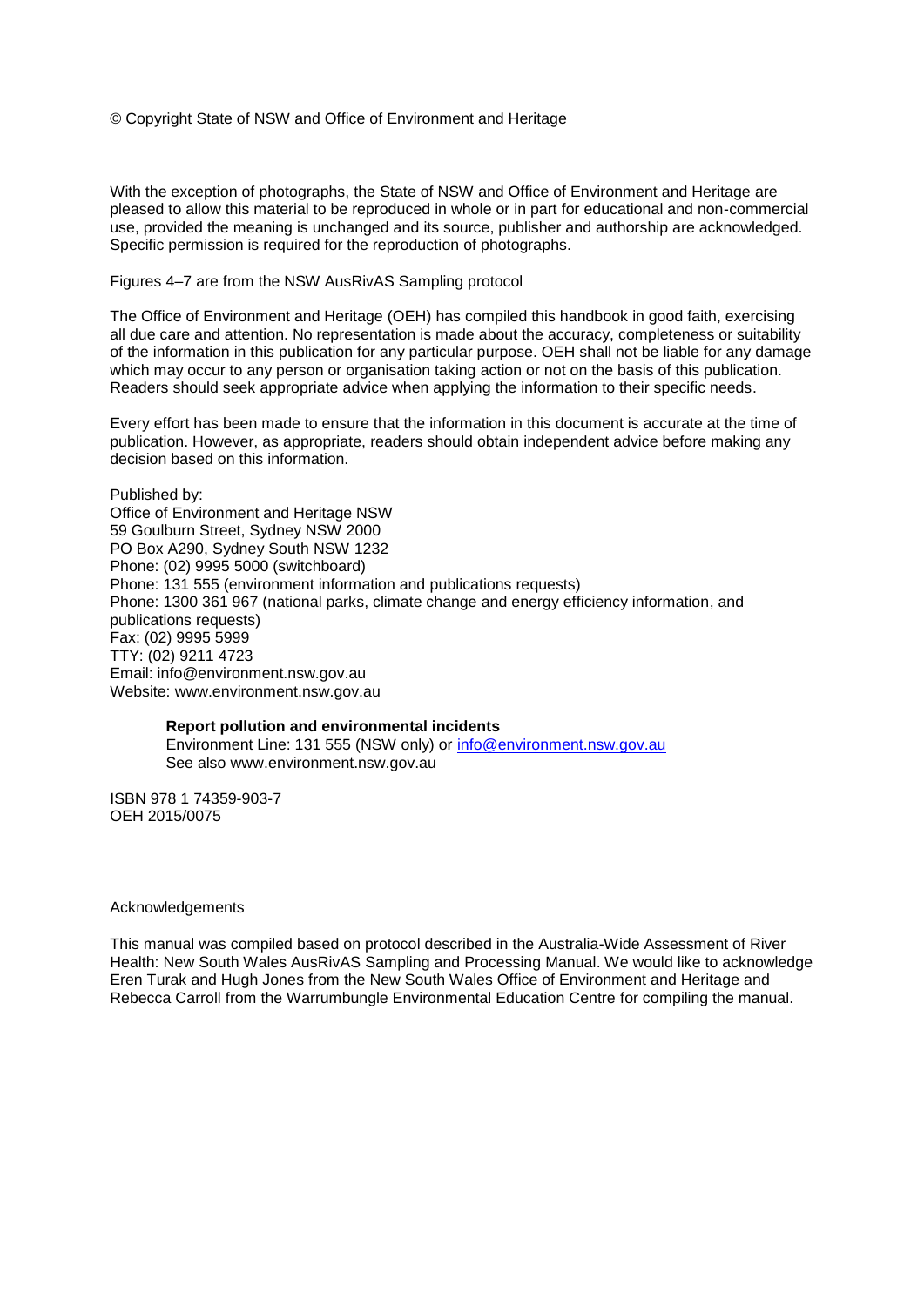© Copyright State of NSW and Office of Environment and Heritage

With the exception of photographs, the State of NSW and Office of Environment and Heritage are pleased to allow this material to be reproduced in whole or in part for educational and non-commercial use, provided the meaning is unchanged and its source, publisher and authorship are acknowledged. Specific permission is required for the reproduction of photographs.

#### Figures 4–7 are from the NSW AusRivAS Sampling protocol

The Office of Environment and Heritage (OEH) has compiled this handbook in good faith, exercising all due care and attention. No representation is made about the accuracy, completeness or suitability of the information in this publication for any particular purpose. OEH shall not be liable for any damage which may occur to any person or organisation taking action or not on the basis of this publication. Readers should seek appropriate advice when applying the information to their specific needs.

Every effort has been made to ensure that the information in this document is accurate at the time of publication. However, as appropriate, readers should obtain independent advice before making any decision based on this information.

Published by: Office of Environment and Heritage NSW 59 Goulburn Street, Sydney NSW 2000 PO Box A290, Sydney South NSW 1232 Phone: (02) 9995 5000 (switchboard) Phone: 131 555 (environment information and publications requests) Phone: 1300 361 967 (national parks, climate change and energy efficiency information, and publications requests) Fax: (02) 9995 5999 TTY: (02) 9211 4723 Email: info@environment.nsw.gov.au Website: www.environment.nsw.gov.au

#### **Report pollution and environmental incidents**

Environment Line: 131 555 (NSW only) or [info@environment.nsw.gov.au](mailto:info@environment.nsw.gov.au) See also www.environment.nsw.gov.au

ISBN 978 1 74359-903-7 OEH 2015/0075

#### Acknowledgements

This manual was compiled based on protocol described in the Australia-Wide Assessment of River Health: New South Wales AusRivAS Sampling and Processing Manual. We would like to acknowledge Eren Turak and Hugh Jones from the New South Wales Office of Environment and Heritage and Rebecca Carroll from the Warrumbungle Environmental Education Centre for compiling the manual.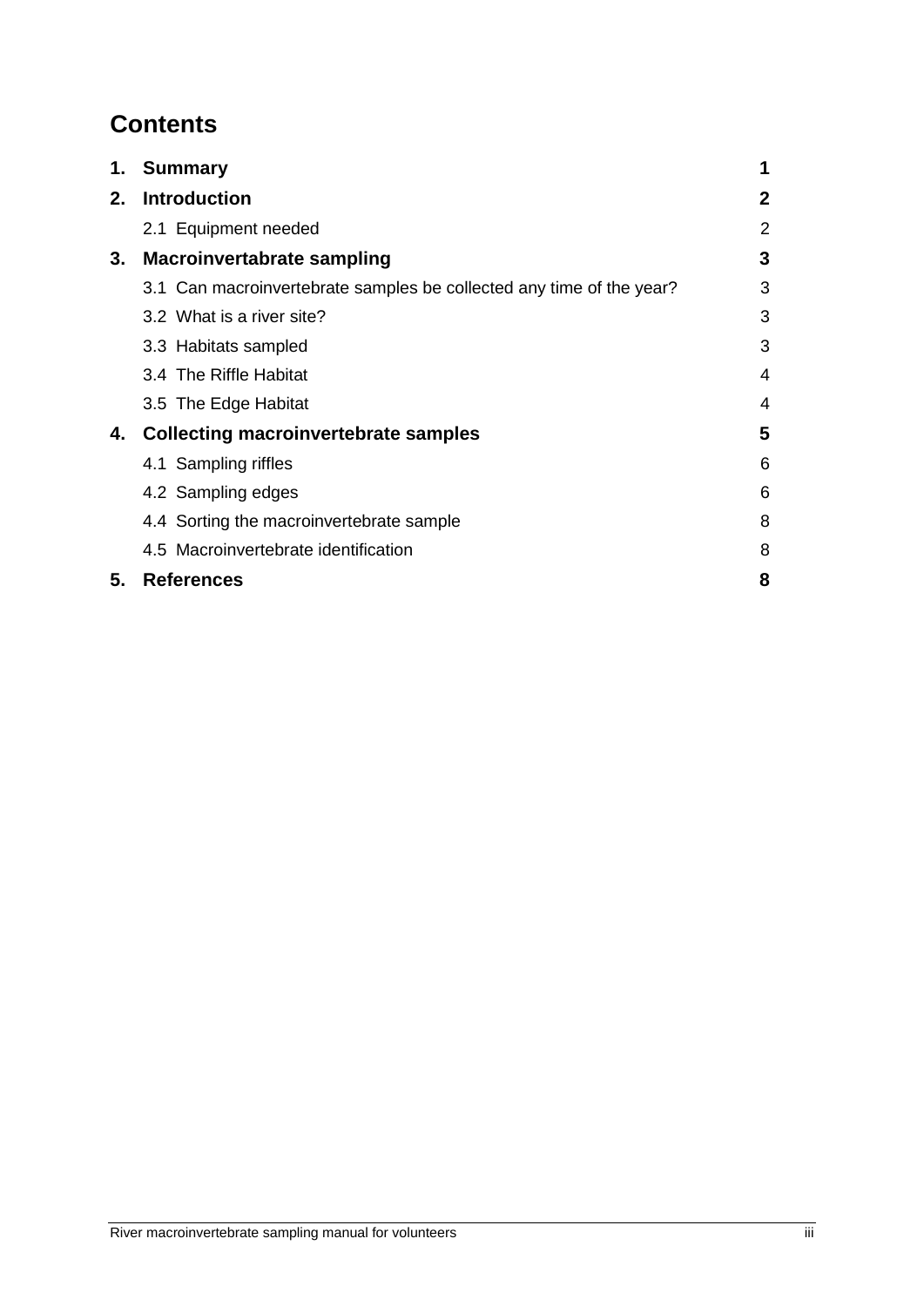# **Contents**

|    | 1. Summary                                                           | 1            |
|----|----------------------------------------------------------------------|--------------|
| 2. | <b>Introduction</b>                                                  | $\mathbf{2}$ |
|    | 2.1 Equipment needed                                                 | 2            |
| 3. | <b>Macroinvertabrate sampling</b>                                    | 3            |
|    | 3.1 Can macroinvertebrate samples be collected any time of the year? | 3            |
|    | 3.2 What is a river site?                                            | 3            |
|    | 3.3 Habitats sampled                                                 | 3            |
|    | 3.4 The Riffle Habitat                                               | 4            |
|    | 3.5 The Edge Habitat                                                 | 4            |
| 4. | <b>Collecting macroinvertebrate samples</b>                          | 5            |
|    | 4.1 Sampling riffles                                                 | 6            |
|    | 4.2 Sampling edges                                                   | 6            |
|    | 4.4 Sorting the macroinvertebrate sample                             | 8            |
|    | 4.5 Macroinvertebrate identification                                 | 8            |
| 5. | <b>References</b>                                                    | 8            |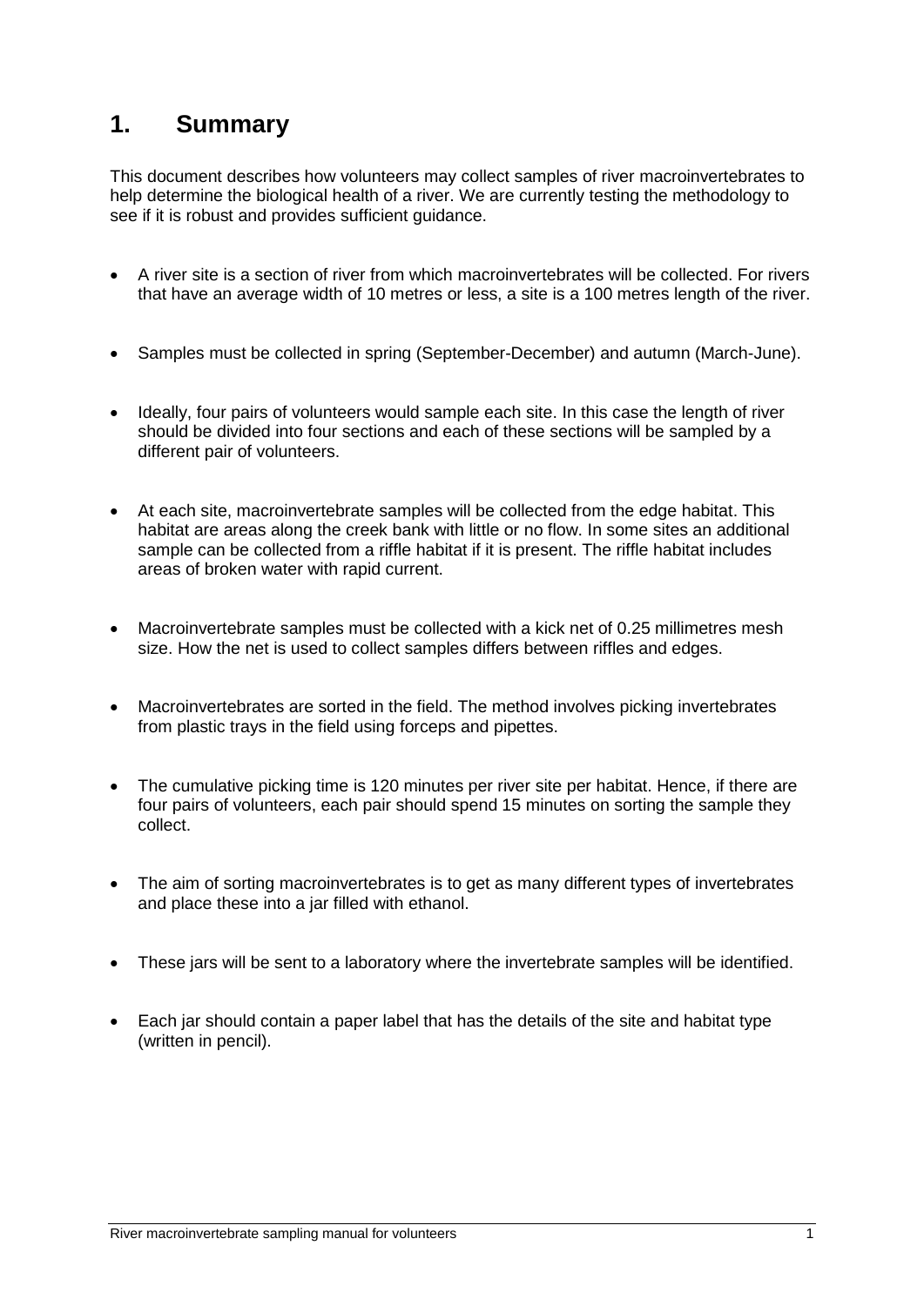## <span id="page-3-0"></span>**1. Summary**

This document describes how volunteers may collect samples of river macroinvertebrates to help determine the biological health of a river. We are currently testing the methodology to see if it is robust and provides sufficient guidance.

- A river site is a section of river from which macroinvertebrates will be collected. For rivers that have an average width of 10 metres or less, a site is a 100 metres length of the river.
- Samples must be collected in spring (September-December) and autumn (March-June).
- Ideally, four pairs of volunteers would sample each site. In this case the length of river should be divided into four sections and each of these sections will be sampled by a different pair of volunteers.
- At each site, macroinvertebrate samples will be collected from the edge habitat. This habitat are areas along the creek bank with little or no flow. In some sites an additional sample can be collected from a riffle habitat if it is present. The riffle habitat includes areas of broken water with rapid current.
- Macroinvertebrate samples must be collected with a kick net of 0.25 millimetres mesh size. How the net is used to collect samples differs between riffles and edges.
- Macroinvertebrates are sorted in the field. The method involves picking invertebrates from plastic trays in the field using forceps and pipettes.
- The cumulative picking time is 120 minutes per river site per habitat. Hence, if there are four pairs of volunteers, each pair should spend 15 minutes on sorting the sample they collect.
- The aim of sorting macroinvertebrates is to get as many different types of invertebrates and place these into a jar filled with ethanol.
- These jars will be sent to a laboratory where the invertebrate samples will be identified.
- Each jar should contain a paper label that has the details of the site and habitat type (written in pencil).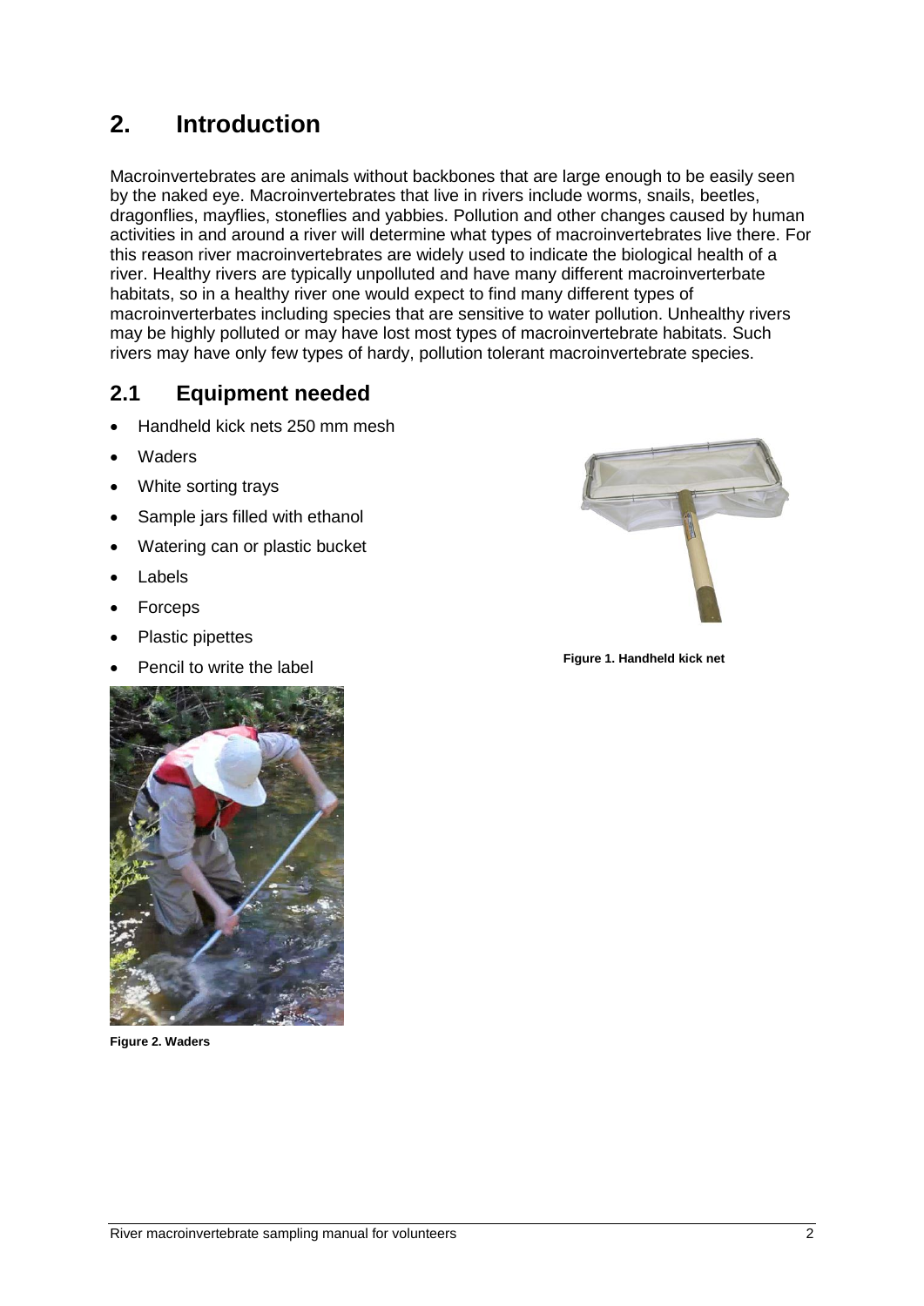# <span id="page-4-1"></span><span id="page-4-0"></span>**2. Introduction**

Macroinvertebrates are animals without backbones that are large enough to be easily seen by the naked eye. Macroinvertebrates that live in rivers include worms, snails, beetles, dragonflies, mayflies, stoneflies and yabbies. Pollution and other changes caused by human activities in and around a river will determine what types of macroinvertebrates live there. For this reason river macroinvertebrates are widely used to indicate the biological health of a river. Healthy rivers are typically unpolluted and have many different macroinverterbate habitats, so in a healthy river one would expect to find many different types of macroinverterbates including species that are sensitive to water pollution. Unhealthy rivers may be highly polluted or may have lost most types of macroinvertebrate habitats. Such rivers may have only few types of hardy, pollution tolerant macroinvertebrate species.

#### **2.1 Equipment needed**

- Handheld kick nets 250 mm mesh
- Waders
- White sorting trays
- Sample jars filled with ethanol
- Watering can or plastic bucket
- Labels
- Forceps
- Plastic pipettes
- Pencil to write the label



**Figure 1. Handheld kick net**



**Figure 2. Waders**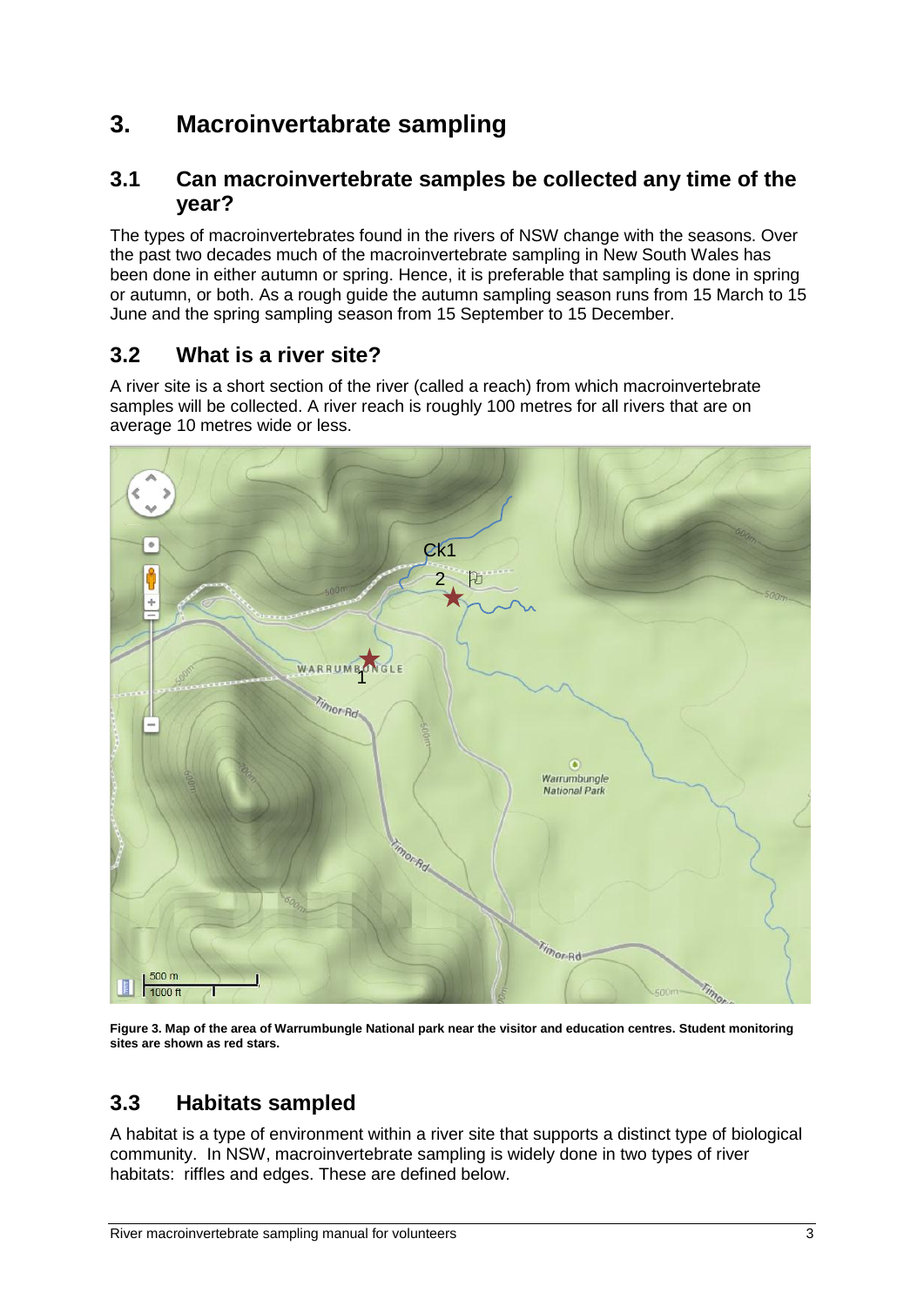# <span id="page-5-0"></span>**3. Macroinvertabrate sampling**

#### <span id="page-5-1"></span>**3.1 Can macroinvertebrate samples be collected any time of the year?**

The types of macroinvertebrates found in the rivers of NSW change with the seasons. Over the past two decades much of the macroinvertebrate sampling in New South Wales has been done in either autumn or spring. Hence, it is preferable that sampling is done in spring or autumn, or both. As a rough guide the autumn sampling season runs from 15 March to 15 June and the spring sampling season from 15 September to 15 December.

#### <span id="page-5-2"></span>**3.2 What is a river site?**

A river site is a short section of the river (called a reach) from which macroinvertebrate samples will be collected. A river reach is roughly 100 metres for all rivers that are on average 10 metres wide or less.



**Figure 3. Map of the area of Warrumbungle National park near the visitor and education centres. Student monitoring sites are shown as red stars.** 

#### <span id="page-5-3"></span>**3.3 Habitats sampled**

A habitat is a type of environment within a river site that supports a distinct type of biological community. In NSW, macroinvertebrate sampling is widely done in two types of river habitats: riffles and edges. These are defined below.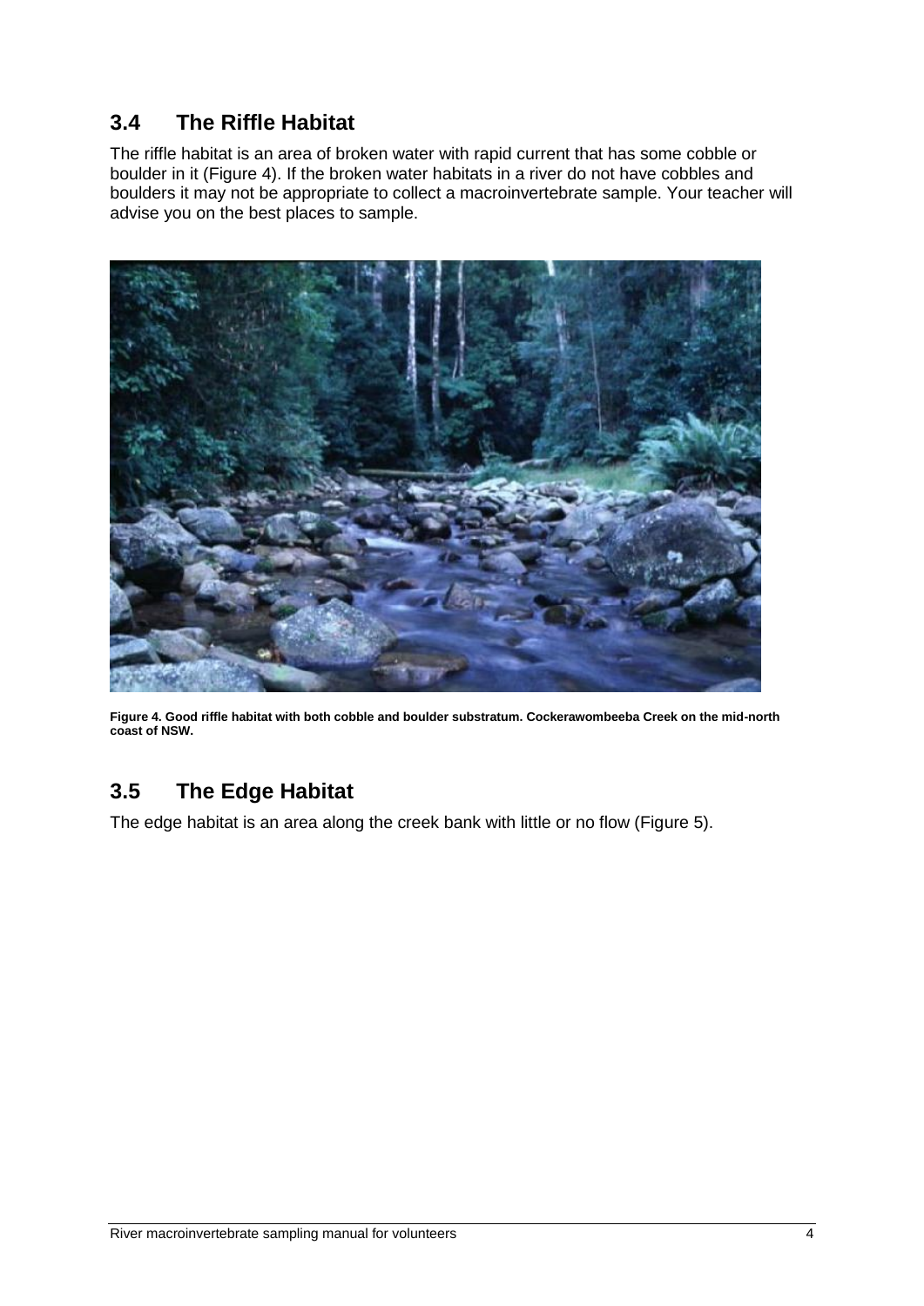### <span id="page-6-0"></span>**3.4 The Riffle Habitat**

The riffle habitat is an area of broken water with rapid current that has some cobble or boulder in it (Figure 4). If the broken water habitats in a river do not have cobbles and boulders it may not be appropriate to collect a macroinvertebrate sample. Your teacher will advise you on the best places to sample.



**Figure 4. Good riffle habitat with both cobble and boulder substratum. Cockerawombeeba Creek on the mid-north coast of NSW.**

#### <span id="page-6-1"></span>**3.5 The Edge Habitat**

The edge habitat is an area along the creek bank with little or no flow (Figure 5).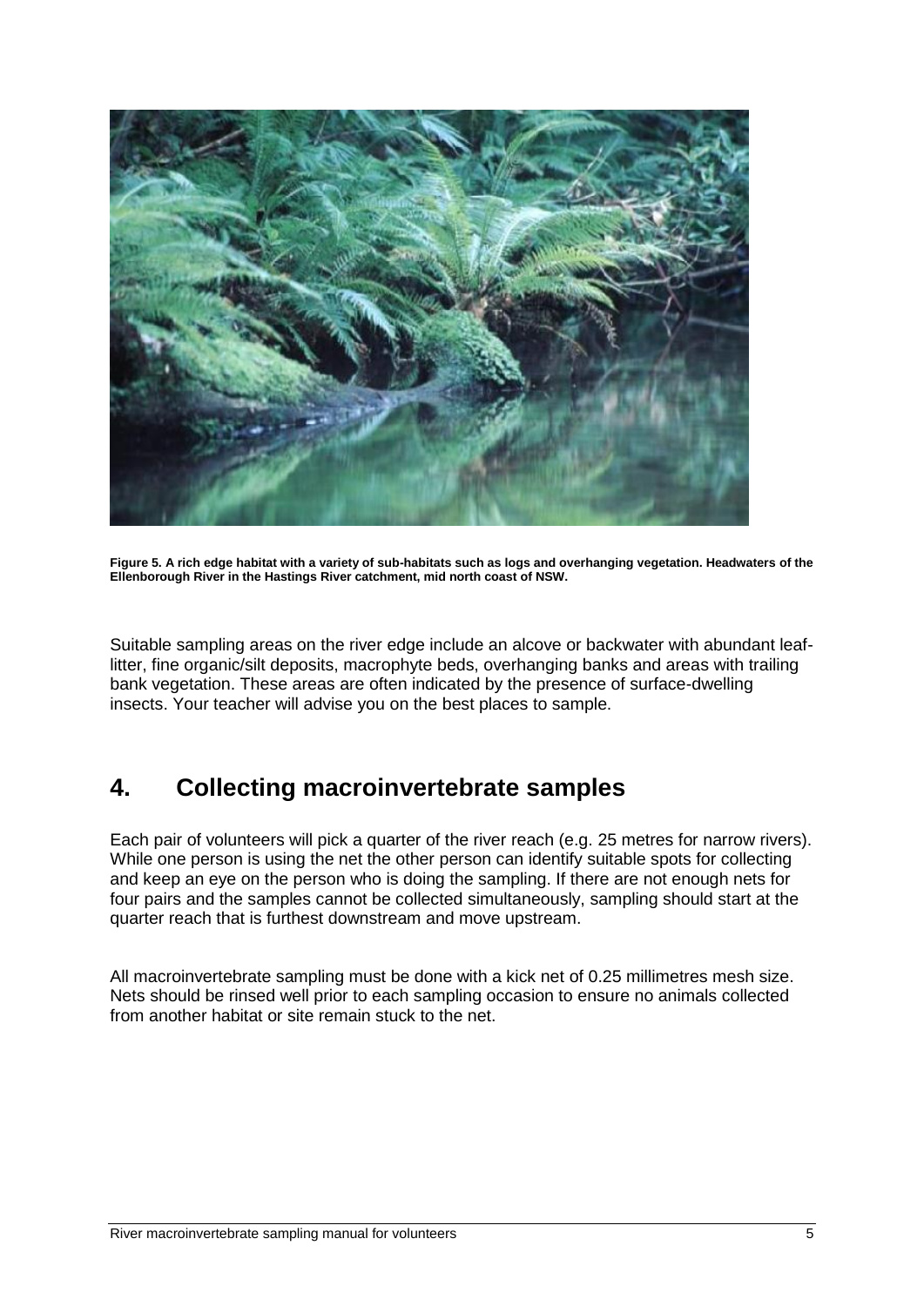

**Figure 5. A rich edge habitat with a variety of sub-habitats such as logs and overhanging vegetation. Headwaters of the Ellenborough River in the Hastings River catchment, mid north coast of NSW.**

Suitable sampling areas on the river edge include an alcove or backwater with abundant leaflitter, fine organic/silt deposits, macrophyte beds, overhanging banks and areas with trailing bank vegetation. These areas are often indicated by the presence of surface-dwelling insects. Your teacher will advise you on the best places to sample.

# <span id="page-7-0"></span>**4. Collecting macroinvertebrate samples**

Each pair of volunteers will pick a quarter of the river reach (e.g. 25 metres for narrow rivers). While one person is using the net the other person can identify suitable spots for collecting and keep an eye on the person who is doing the sampling. If there are not enough nets for four pairs and the samples cannot be collected simultaneously, sampling should start at the quarter reach that is furthest downstream and move upstream.

All macroinvertebrate sampling must be done with a kick net of 0.25 millimetres mesh size. Nets should be rinsed well prior to each sampling occasion to ensure no animals collected from another habitat or site remain stuck to the net.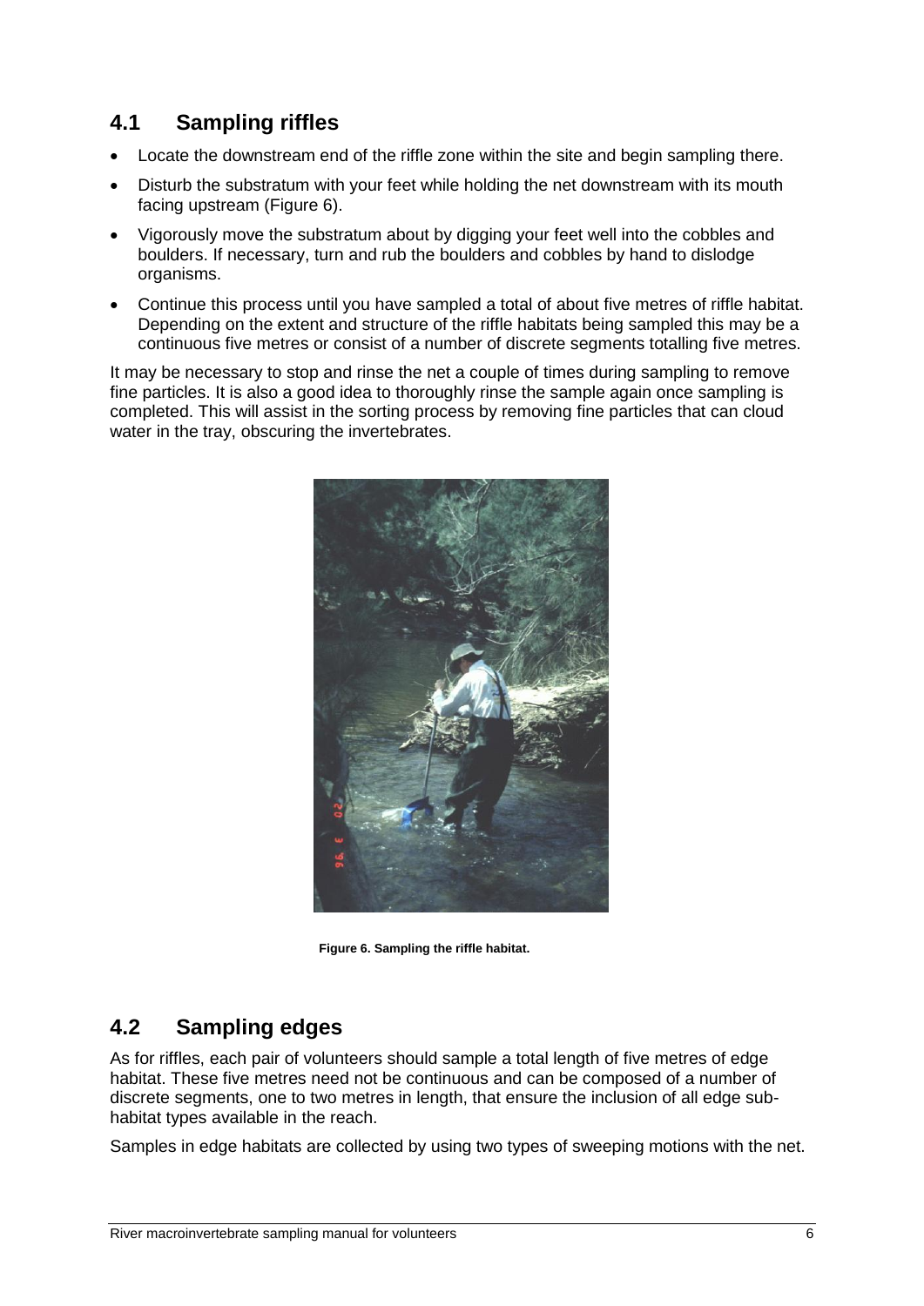### <span id="page-8-0"></span>**4.1 Sampling riffles**

- Locate the downstream end of the riffle zone within the site and begin sampling there.
- Disturb the substratum with your feet while holding the net downstream with its mouth facing upstream (Figure 6).
- Vigorously move the substratum about by digging your feet well into the cobbles and boulders. If necessary, turn and rub the boulders and cobbles by hand to dislodge organisms.
- Continue this process until you have sampled a total of about five metres of riffle habitat. Depending on the extent and structure of the riffle habitats being sampled this may be a continuous five metres or consist of a number of discrete segments totalling five metres.

It may be necessary to stop and rinse the net a couple of times during sampling to remove fine particles. It is also a good idea to thoroughly rinse the sample again once sampling is completed. This will assist in the sorting process by removing fine particles that can cloud water in the tray, obscuring the invertebrates.



**Figure 6. Sampling the riffle habitat.**

### <span id="page-8-1"></span>**4.2 Sampling edges**

As for riffles, each pair of volunteers should sample a total length of five metres of edge habitat. These five metres need not be continuous and can be composed of a number of discrete segments, one to two metres in length, that ensure the inclusion of all edge subhabitat types available in the reach.

Samples in edge habitats are collected by using two types of sweeping motions with the net.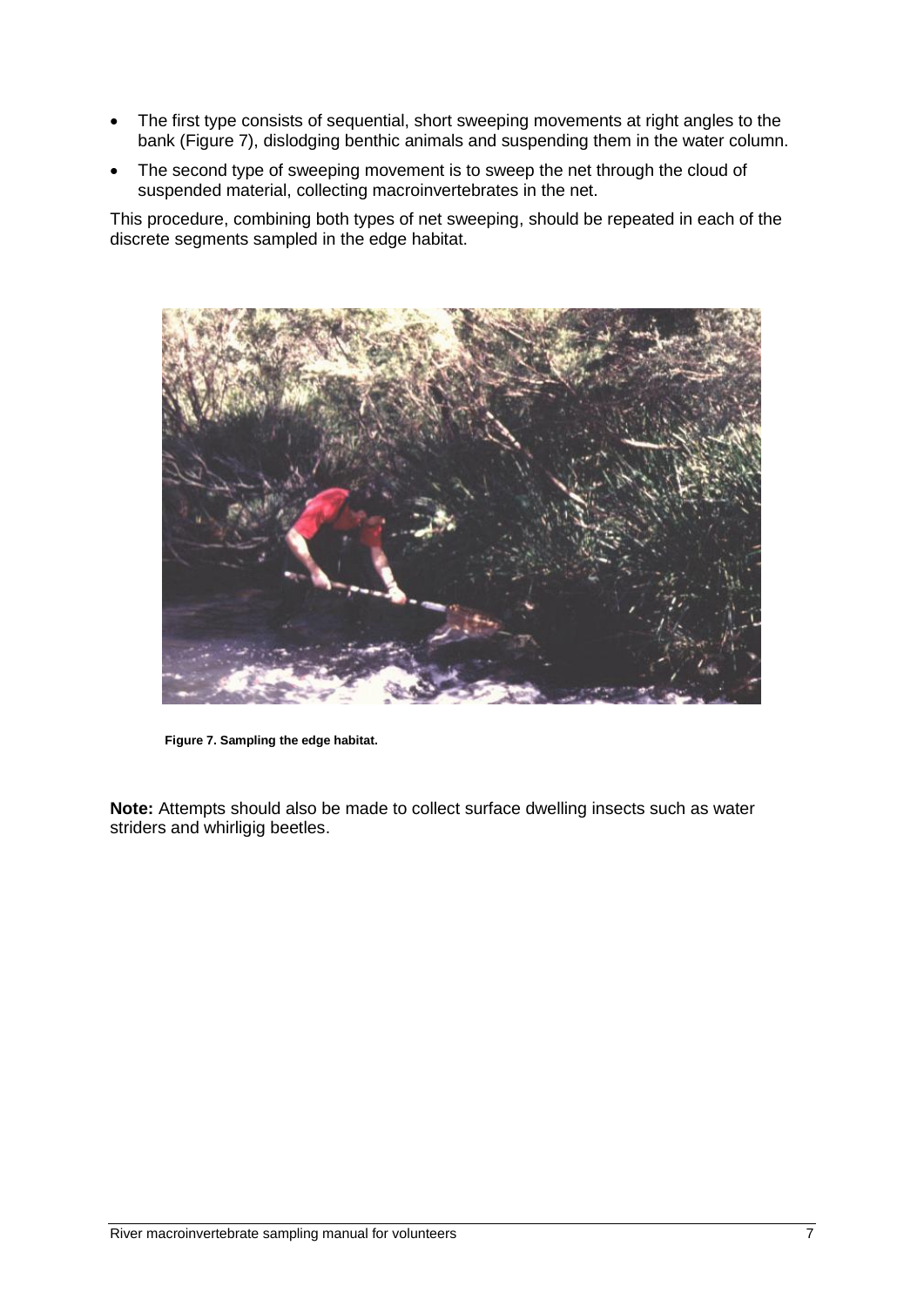- The first type consists of sequential, short sweeping movements at right angles to the bank (Figure 7), dislodging benthic animals and suspending them in the water column.
- The second type of sweeping movement is to sweep the net through the cloud of suspended material, collecting macroinvertebrates in the net.

This procedure, combining both types of net sweeping, should be repeated in each of the discrete segments sampled in the edge habitat.



**Figure 7. Sampling the edge habitat.**

**Note:** Attempts should also be made to collect surface dwelling insects such as water striders and whirligig beetles.